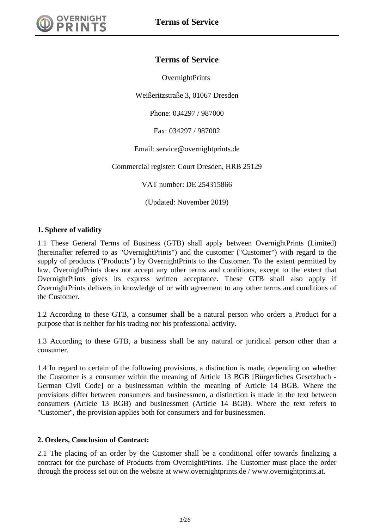

**OvernightPrints** 

Weißeritzstraße 3, 01067 Dresden

Phone: 034297 / 987000

Fax: 034297 / 987002

Email: service@overnightprints.de

Commercial register: Court Dresden, HRB 25129

VAT number: DE 254315866

(Updated: November 2019)

#### **1. Sphere of validity**

1.1 These General Terms of Business (GTB) shall apply between OvernightPrints (Limited) (hereinafter referred to as "OvernightPrints") and the customer ("Customer") with regard to the supply of products ("Products") by OvernightPrints to the Customer. To the extent permitted by law, OvernightPrints does not accept any other terms and conditions, except to the extent that OvernightPrints gives its express written acceptance. These GTB shall also apply if OvernightPrints delivers in knowledge of or with agreement to any other terms and conditions of the Customer.

1.2 According to these GTB, a consumer shall be a natural person who orders a Product for a purpose that is neither for his trading nor his professional activity.

1.3 According to these GTB, a business shall be any natural or juridical person other than a consumer.

1.4 In regard to certain of the following provisions, a distinction is made, depending on whether the Customer is a consumer within the meaning of Article 13 BGB [Bürgerliches Gesetzbuch - German Civil Code] or a businessman within the meaning of Article 14 BGB. Where the provisions differ between consumers and businessmen, a distinction is made in the text between consumers (Article 13 BGB) and businessmen (Article 14 BGB). Where the text refers to "Customer", the provision applies both for consumers and for businessmen.

#### **2. Orders, Conclusion of Contract:**

2.1 The placing of an order by the Customer shall be a conditional offer towards finalizing a contract for the purchase of Products from OvernightPrints. The Customer must place the order through the process set out on the website at www.overnightprints.de / www.overnightprints.at.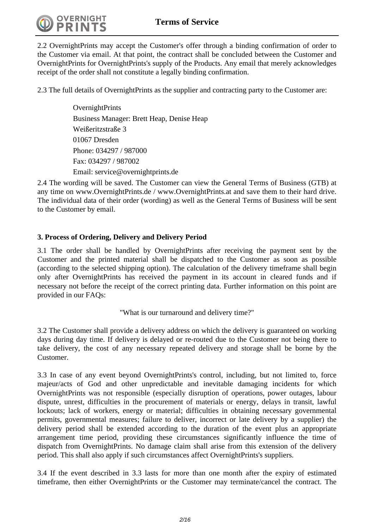

2.2 OvernightPrints may accept the Customer's offer through a binding confirmation of order to the Customer via email. At that point, the contract shall be concluded between the Customer and OvernightPrints for OvernightPrints's supply of the Products. Any email that merely acknowledges receipt of the order shall not constitute a legally binding confirmation.

2.3 The full details of OvernightPrints as the supplier and contracting party to the Customer are:

**OvernightPrints** Business Manager: Brett Heap, Denise Heap Weißeritzstraße 3 01067 Dresden Phone: 034297 / 987000 Fax: 034297 / 987002 Email: service@overnightprints.de

2.4 The wording will be saved. The Customer can view the General Terms of Business (GTB) at any time on www.OvernightPrints.de / www.OvernightPrints.at and save them to their hard drive. The individual data of their order (wording) as well as the General Terms of Business will be sent to the Customer by email.

## **3. Process of Ordering, Delivery and Delivery Period**

3.1 The order shall be handled by OvernightPrints after receiving the payment sent by the Customer and the printed material shall be dispatched to the Customer as soon as possible (according to the selected shipping option). The calculation of the delivery timeframe shall begin only after OvernightPrints has received the payment in its account in cleared funds and if necessary not before the receipt of the correct printing data. Further information on this point are provided in our FAQs:

"What is our turnaround and delivery time?"

3.2 The Customer shall provide a delivery address on which the delivery is guaranteed on working days during day time. If delivery is delayed or re-routed due to the Customer not being there to take delivery, the cost of any necessary repeated delivery and storage shall be borne by the Customer.

3.3 In case of any event beyond OvernightPrints's control, including, but not limited to, force majeur/acts of God and other unpredictable and inevitable damaging incidents for which OvernightPrints was not responsible (especially disruption of operations, power outages, labour dispute, unrest, difficulties in the procurement of materials or energy, delays in transit, lawful lockouts; lack of workers, energy or material; difficulties in obtaining necessary governmental permits, governmental measures; failure to deliver, incorrect or late delivery by a supplier) the delivery period shall be extended according to the duration of the event plus an appropriate arrangement time period, providing these circumstances significantly influence the time of dispatch from OvernightPrints. No damage claim shall arise from this extension of the delivery period. This shall also apply if such circumstances affect OvernightPrints's suppliers.

3.4 If the event described in 3.3 lasts for more than one month after the expiry of estimated timeframe, then either OvernightPrints or the Customer may terminate/cancel the contract. The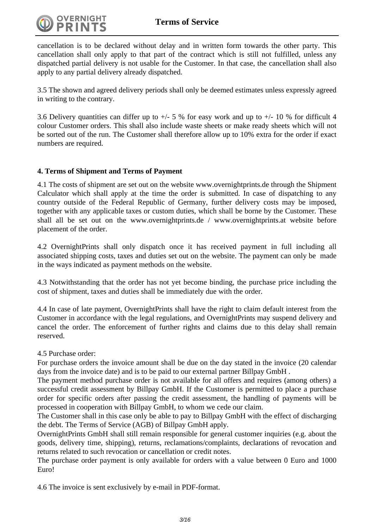

cancellation is to be declared without delay and in written form towards the other party. This cancellation shall only apply to that part of the contract which is still not fulfilled, unless any dispatched partial delivery is not usable for the Customer. In that case, the cancellation shall also apply to any partial delivery already dispatched.

3.5 The shown and agreed delivery periods shall only be deemed estimates unless expressly agreed in writing to the contrary.

3.6 Delivery quantities can differ up to  $+/- 5$  % for easy work and up to  $+/- 10$  % for difficult 4 colour Customer orders. This shall also include waste sheets or make ready sheets which will not be sorted out of the run. The Customer shall therefore allow up to 10% extra for the order if exact numbers are required.

#### **4. Terms of Shipment and Terms of Payment**

4.1 The costs of shipment are set out on the website www.overnightprints.de through the Shipment Calculator which shall apply at the time the order is submitted. In case of dispatching to any country outside of the Federal Republic of Germany, further delivery costs may be imposed, together with any applicable taxes or custom duties, which shall be borne by the Customer. These shall all be set out on the www.overnightprints.de / www.overnightprints.at website before placement of the order.

4.2 OvernightPrints shall only dispatch once it has received payment in full including all associated shipping costs, taxes and duties set out on the website. The payment can only be made in the ways indicated as payment methods on the website.

4.3 Notwithstanding that the order has not yet become binding, the purchase price including the cost of shipment, taxes and duties shall be immediately due with the order.

4.4 In case of late payment, OvernightPrints shall have the right to claim default interest from the Customer in accordance with the legal regulations, and OvernightPrints may suspend delivery and cancel the order. The enforcement of further rights and claims due to this delay shall remain reserved.

#### 4.5 Purchase order:

For purchase orders the invoice amount shall be due on the day stated in the invoice (20 calendar days from the invoice date) and is to be paid to our external partner Billpay GmbH .

The payment method purchase order is not available for all offers and requires (among others) a successful credit assessment by Billpay GmbH. If the Customer is permitted to place a purchase order for specific orders after passing the credit assessment, the handling of payments will be processed in cooperation with Billpay GmbH, to whom we cede our claim.

The Customer shall in this case only be able to pay to Billpay GmbH with the effect of discharging the debt. The Terms of Service (AGB) of Billpay GmbH apply.

OvernightPrints GmbH shall still remain responsible for general customer inquiries (e.g. about the goods, delivery time, shipping), returns, reclamations/complaints, declarations of revocation and returns related to such revocation or cancellation or credit notes.

The purchase order payment is only available for orders with a value between 0 Euro and 1000 Euro!

4.6 The invoice is sent exclusively by e-mail in PDF-format.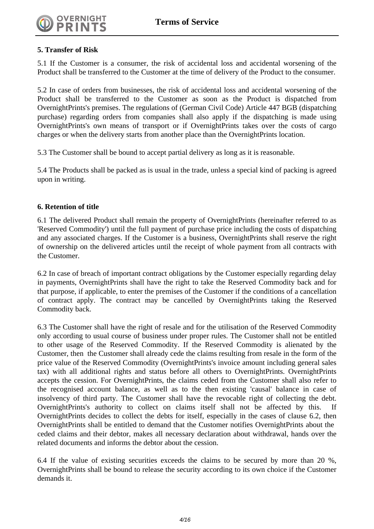## **5. Transfer of Risk**

5.1 If the Customer is a consumer, the risk of accidental loss and accidental worsening of the Product shall be transferred to the Customer at the time of delivery of the Product to the consumer.

5.2 In case of orders from businesses, the risk of accidental loss and accidental worsening of the Product shall be transferred to the Customer as soon as the Product is dispatched from OvernightPrints's premises. The regulations of (German Civil Code) Article 447 BGB (dispatching purchase) regarding orders from companies shall also apply if the dispatching is made using OvernightPrints's own means of transport or if OvernightPrints takes over the costs of cargo charges or when the delivery starts from another place than the OvernightPrints location.

5.3 The Customer shall be bound to accept partial delivery as long as it is reasonable.

5.4 The Products shall be packed as is usual in the trade, unless a special kind of packing is agreed upon in writing.

#### **6. Retention of title**

6.1 The delivered Product shall remain the property of OvernightPrints (hereinafter referred to as 'Reserved Commodity') until the full payment of purchase price including the costs of dispatching and any associated charges. If the Customer is a business, OvernightPrints shall reserve the right of ownership on the delivered articles until the receipt of whole payment from all contracts with the Customer.

6.2 In case of breach of important contract obligations by the Customer especially regarding delay in payments, OvernightPrints shall have the right to take the Reserved Commodity back and for that purpose, if applicable, to enter the premises of the Customer if the conditions of a cancellation of contract apply. The contract may be cancelled by OvernightPrints taking the Reserved Commodity back.

6.3 The Customer shall have the right of resale and for the utilisation of the Reserved Commodity only according to usual course of business under proper rules. The Customer shall not be entitled to other usage of the Reserved Commodity. If the Reserved Commodity is alienated by the Customer, then the Customer shall already cede the claims resulting from resale in the form of the price value of the Reserved Commodity (OvernightPrints's invoice amount including general sales tax) with all additional rights and status before all others to OvernightPrints. OvernightPrints accepts the cession. For OvernightPrints, the claims ceded from the Customer shall also refer to the recognised account balance, as well as to the then existing 'causal' balance in case of insolvency of third party. The Customer shall have the revocable right of collecting the debt. OvernightPrints's authority to collect on claims itself shall not be affected by this. If OvernightPrints decides to collect the debts for itself, especially in the cases of clause 6.2, then OvernightPrints shall be entitled to demand that the Customer notifies OvernightPrints about the ceded claims and their debtor, makes all necessary declaration about withdrawal, hands over the related documents and informs the debtor about the cession.

6.4 If the value of existing securities exceeds the claims to be secured by more than 20 %, OvernightPrints shall be bound to release the security according to its own choice if the Customer demands it.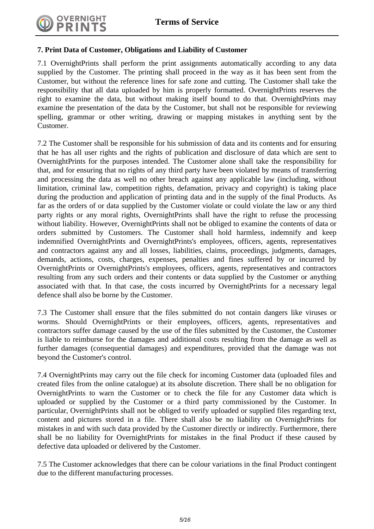

## **7. Print Data of Customer, Obligations and Liability of Customer**

7.1 OvernightPrints shall perform the print assignments automatically according to any data supplied by the Customer. The printing shall proceed in the way as it has been sent from the Customer, but without the reference lines for safe zone and cutting. The Customer shall take the responsibility that all data uploaded by him is properly formatted. OvernightPrints reserves the right to examine the data, but without making itself bound to do that. OvernightPrints may examine the presentation of the data by the Customer, but shall not be responsible for reviewing spelling, grammar or other writing, drawing or mapping mistakes in anything sent by the Customer.

7.2 The Customer shall be responsible for his submission of data and its contents and for ensuring that he has all user rights and the rights of publication and disclosure of data which are sent to OvernightPrints for the purposes intended. The Customer alone shall take the responsibility for that, and for ensuring that no rights of any third party have been violated by means of transferring and processing the data as well no other breach against any applicable law (including, without limitation, criminal law, competition rights, defamation, privacy and copyright) is taking place during the production and application of printing data and in the supply of the final Products. As far as the orders of or data supplied by the Customer violate or could violate the law or any third party rights or any moral rights, OvernightPrints shall have the right to refuse the processing without liability. However, OvernightPrints shall not be obliged to examine the contents of data or orders submitted by Customers. The Customer shall hold harmless, indemnify and keep indemnified OvernightPrints and OvernightPrints's employees, officers, agents, representatives and contractors against any and all losses, liabilities, claims, proceedings, judgments, damages, demands, actions, costs, charges, expenses, penalties and fines suffered by or incurred by OvernightPrints or OvernightPrints's employees, officers, agents, representatives and contractors resulting from any such orders and their contents or data supplied by the Customer or anything associated with that. In that case, the costs incurred by OvernightPrints for a necessary legal defence shall also be borne by the Customer.

7.3 The Customer shall ensure that the files submitted do not contain dangers like viruses or worms. Should OvernightPrints or their employees, officers, agents, representatives and contractors suffer damage caused by the use of the files submitted by the Customer, the Customer is liable to reimburse for the damages and additional costs resulting from the damage as well as further damages (consequential damages) and expenditures, provided that the damage was not beyond the Customer's control.

7.4 OvernightPrints may carry out the file check for incoming Customer data (uploaded files and created files from the online catalogue) at its absolute discretion. There shall be no obligation for OvernightPrints to warn the Customer or to check the file for any Customer data which is uploaded or supplied by the Customer or a third party commissioned by the Customer. In particular, OvernightPrints shall not be obliged to verify uploaded or supplied files regarding text, content and pictures stored in a file. There shall also be no liability on OvernightPrints for mistakes in and with such data provided by the Customer directly or indirectly. Furthermore, there shall be no liability for OvernightPrints for mistakes in the final Product if these caused by defective data uploaded or delivered by the Customer.

7.5 The Customer acknowledges that there can be colour variations in the final Product contingent due to the different manufacturing processes.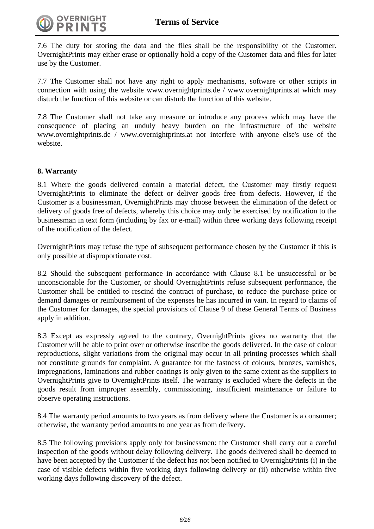

7.6 The duty for storing the data and the files shall be the responsibility of the Customer. OvernightPrints may either erase or optionally hold a copy of the Customer data and files for later use by the Customer.

7.7 The Customer shall not have any right to apply mechanisms, software or other scripts in connection with using the website www.overnightprints.de / www.overnightprints.at which may disturb the function of this website or can disturb the function of this website.

7.8 The Customer shall not take any measure or introduce any process which may have the consequence of placing an unduly heavy burden on the infrastructure of the website www.overnightprints.de / www.overnightprints.at nor interfere with anyone else's use of the website.

## **8. Warranty**

8.1 Where the goods delivered contain a material defect, the Customer may firstly request OvernightPrints to eliminate the defect or deliver goods free from defects. However, if the Customer is a businessman, OvernightPrints may choose between the elimination of the defect or delivery of goods free of defects, whereby this choice may only be exercised by notification to the businessman in text form (including by fax or e-mail) within three working days following receipt of the notification of the defect.

OvernightPrints may refuse the type of subsequent performance chosen by the Customer if this is only possible at disproportionate cost.

8.2 Should the subsequent performance in accordance with Clause 8.1 be unsuccessful or be unconscionable for the Customer, or should OvernightPrints refuse subsequent performance, the Customer shall be entitled to rescind the contract of purchase, to reduce the purchase price or demand damages or reimbursement of the expenses he has incurred in vain. In regard to claims of the Customer for damages, the special provisions of Clause 9 of these General Terms of Business apply in addition.

8.3 Except as expressly agreed to the contrary, OvernightPrints gives no warranty that the Customer will be able to print over or otherwise inscribe the goods delivered. In the case of colour reproductions, slight variations from the original may occur in all printing processes which shall not constitute grounds for complaint. A guarantee for the fastness of colours, bronzes, varnishes, impregnations, laminations and rubber coatings is only given to the same extent as the suppliers to OvernightPrints give to OvernightPrints itself. The warranty is excluded where the defects in the goods result from improper assembly, commissioning, insufficient maintenance or failure to observe operating instructions.

8.4 The warranty period amounts to two years as from delivery where the Customer is a consumer; otherwise, the warranty period amounts to one year as from delivery.

8.5 The following provisions apply only for businessmen: the Customer shall carry out a careful inspection of the goods without delay following delivery. The goods delivered shall be deemed to have been accepted by the Customer if the defect has not been notified to OvernightPrints (i) in the case of visible defects within five working days following delivery or (ii) otherwise within five working days following discovery of the defect.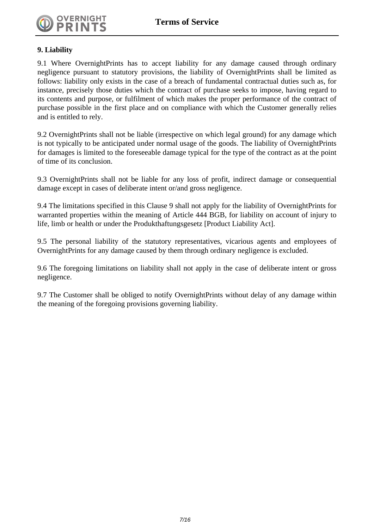

#### **9. Liability**

9.1 Where OvernightPrints has to accept liability for any damage caused through ordinary negligence pursuant to statutory provisions, the liability of OvernightPrints shall be limited as follows: liability only exists in the case of a breach of fundamental contractual duties such as, for instance, precisely those duties which the contract of purchase seeks to impose, having regard to its contents and purpose, or fulfilment of which makes the proper performance of the contract of purchase possible in the first place and on compliance with which the Customer generally relies and is entitled to rely.

9.2 OvernightPrints shall not be liable (irrespective on which legal ground) for any damage which is not typically to be anticipated under normal usage of the goods. The liability of OvernightPrints for damages is limited to the foreseeable damage typical for the type of the contract as at the point of time of its conclusion.

9.3 OvernightPrints shall not be liable for any loss of profit, indirect damage or consequential damage except in cases of deliberate intent or/and gross negligence.

9.4 The limitations specified in this Clause 9 shall not apply for the liability of OvernightPrints for warranted properties within the meaning of Article 444 BGB, for liability on account of injury to life, limb or health or under the Produkthaftungsgesetz [Product Liability Act].

9.5 The personal liability of the statutory representatives, vicarious agents and employees of OvernightPrints for any damage caused by them through ordinary negligence is excluded.

9.6 The foregoing limitations on liability shall not apply in the case of deliberate intent or gross negligence.

9.7 The Customer shall be obliged to notify OvernightPrints without delay of any damage within the meaning of the foregoing provisions governing liability.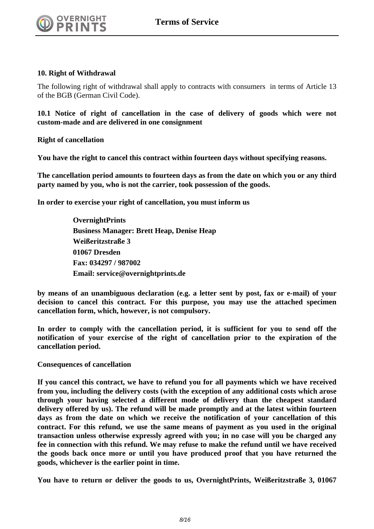#### **10. Right of Withdrawal**

The following right of withdrawal shall apply to contracts with consumers in terms of Article 13 of the BGB (German Civil Code).

**10.1 Notice of right of cancellation in the case of delivery of goods which were not custom-made and are delivered in one consignment**

**Right of cancellation** 

**You have the right to cancel this contract within fourteen days without specifying reasons.**

**The cancellation period amounts to fourteen days as from the date on which you or any third party named by you, who is not the carrier, took possession of the goods.**

**In order to exercise your right of cancellation, you must inform us**

**OvernightPrints Business Manager: Brett Heap, Denise Heap Weißeritzstraße 3 01067 Dresden Fax: 034297 / 987002 Email: service@overnightprints.de**

**by means of an unambiguous declaration (e.g. a letter sent by post, fax or e-mail) of your decision to cancel this contract. For this purpose, you may use the attached specimen cancellation form, which, however, is not compulsory.**

**In order to comply with the cancellation period, it is sufficient for you to send off the notification of your exercise of the right of cancellation prior to the expiration of the cancellation period.**

**Consequences of cancellation** 

**If you cancel this contract, we have to refund you for all payments which we have received from you, including the delivery costs (with the exception of any additional costs which arose through your having selected a different mode of delivery than the cheapest standard delivery offered by us). The refund will be made promptly and at the latest within fourteen days as from the date on which we receive the notification of your cancellation of this contract. For this refund, we use the same means of payment as you used in the original transaction unless otherwise expressly agreed with you; in no case will you be charged any fee in connection with this refund. We may refuse to make the refund until we have received the goods back once more or until you have produced proof that you have returned the goods, whichever is the earlier point in time.**

**You have to return or deliver the goods to us, OvernightPrints, Weißeritzstraße 3, 01067**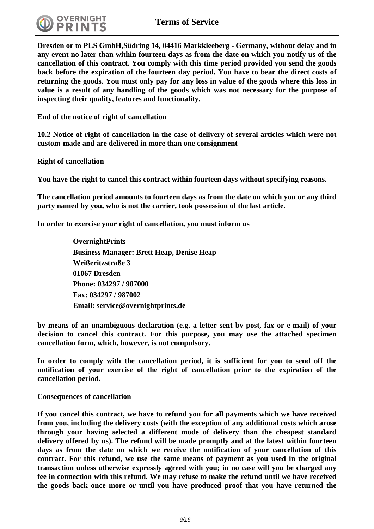

**Dresden or to PLS GmbH,Südring 14, 04416 Markkleeberg - Germany, without delay and in any event no later than within fourteen days as from the date on which you notify us of the cancellation of this contract. You comply with this time period provided you send the goods back before the expiration of the fourteen day period. You have to bear the direct costs of returning the goods. You must only pay for any loss in value of the goods where this loss in value is a result of any handling of the goods which was not necessary for the purpose of inspecting their quality, features and functionality.**

**End of the notice of right of cancellation**

**10.2 Notice of right of cancellation in the case of delivery of several articles which were not custom-made and are delivered in more than one consignment**

**Right of cancellation** 

**You have the right to cancel this contract within fourteen days without specifying reasons.**

**The cancellation period amounts to fourteen days as from the date on which you or any third party named by you, who is not the carrier, took possession of the last article.**

**In order to exercise your right of cancellation, you must inform us**

**OvernightPrints Business Manager: Brett Heap, Denise Heap Weißeritzstraße 3 01067 Dresden Phone: 034297 / 987000 Fax: 034297 / 987002 Email: service@overnightprints.de**

**by means of an unambiguous declaration (e.g. a letter sent by post, fax or e-mail) of your decision to cancel this contract. For this purpose, you may use the attached specimen cancellation form, which, however, is not compulsory.**

**In order to comply with the cancellation period, it is sufficient for you to send off the notification of your exercise of the right of cancellation prior to the expiration of the cancellation period.**

**Consequences of cancellation** 

**If you cancel this contract, we have to refund you for all payments which we have received from you, including the delivery costs (with the exception of any additional costs which arose through your having selected a different mode of delivery than the cheapest standard delivery offered by us). The refund will be made promptly and at the latest within fourteen days as from the date on which we receive the notification of your cancellation of this contract. For this refund, we use the same means of payment as you used in the original transaction unless otherwise expressly agreed with you; in no case will you be charged any fee in connection with this refund. We may refuse to make the refund until we have received the goods back once more or until you have produced proof that you have returned the**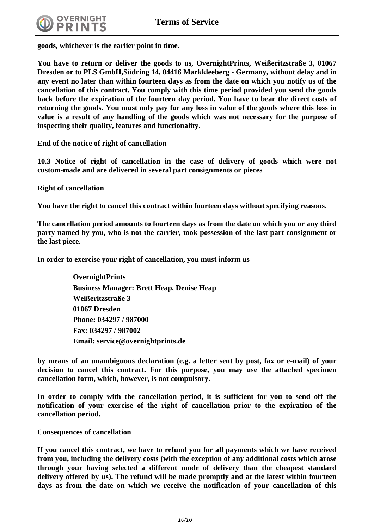

**goods, whichever is the earlier point in time.**

**You have to return or deliver the goods to us, OvernightPrints, Weißeritzstraße 3, 01067 Dresden or to PLS GmbH,Südring 14, 04416 Markkleeberg - Germany, without delay and in any event no later than within fourteen days as from the date on which you notify us of the cancellation of this contract. You comply with this time period provided you send the goods back before the expiration of the fourteen day period. You have to bear the direct costs of returning the goods. You must only pay for any loss in value of the goods where this loss in value is a result of any handling of the goods which was not necessary for the purpose of inspecting their quality, features and functionality.**

**End of the notice of right of cancellation**

**10.3 Notice of right of cancellation in the case of delivery of goods which were not custom-made and are delivered in several part consignments or pieces**

**Right of cancellation** 

**You have the right to cancel this contract within fourteen days without specifying reasons.**

**The cancellation period amounts to fourteen days as from the date on which you or any third party named by you, who is not the carrier, took possession of the last part consignment or the last piece.**

**In order to exercise your right of cancellation, you must inform us**

**OvernightPrints Business Manager: Brett Heap, Denise Heap Weißeritzstraße 3 01067 Dresden Phone: 034297 / 987000 Fax: 034297 / 987002 Email: service@overnightprints.de**

**by means of an unambiguous declaration (e.g. a letter sent by post, fax or e-mail) of your decision to cancel this contract. For this purpose, you may use the attached specimen cancellation form, which, however, is not compulsory.**

**In order to comply with the cancellation period, it is sufficient for you to send off the notification of your exercise of the right of cancellation prior to the expiration of the cancellation period.**

**Consequences of cancellation** 

**If you cancel this contract, we have to refund you for all payments which we have received from you, including the delivery costs (with the exception of any additional costs which arose through your having selected a different mode of delivery than the cheapest standard delivery offered by us). The refund will be made promptly and at the latest within fourteen days as from the date on which we receive the notification of your cancellation of this**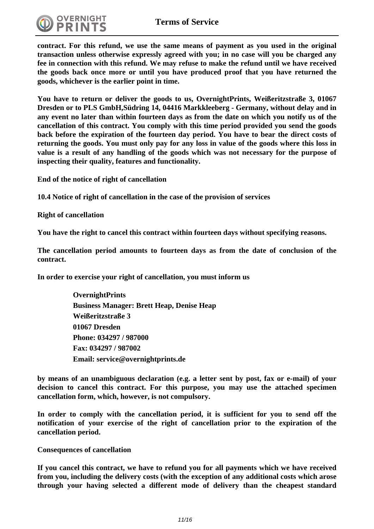

**contract. For this refund, we use the same means of payment as you used in the original transaction unless otherwise expressly agreed with you; in no case will you be charged any fee in connection with this refund. We may refuse to make the refund until we have received the goods back once more or until you have produced proof that you have returned the goods, whichever is the earlier point in time.**

**You have to return or deliver the goods to us, OvernightPrints, Weißeritzstraße 3, 01067 Dresden or to PLS GmbH,Südring 14, 04416 Markkleeberg - Germany, without delay and in any event no later than within fourteen days as from the date on which you notify us of the cancellation of this contract. You comply with this time period provided you send the goods back before the expiration of the fourteen day period. You have to bear the direct costs of returning the goods. You must only pay for any loss in value of the goods where this loss in value is a result of any handling of the goods which was not necessary for the purpose of inspecting their quality, features and functionality.**

**End of the notice of right of cancellation**

**10.4 Notice of right of cancellation in the case of the provision of services**

**Right of cancellation** 

**You have the right to cancel this contract within fourteen days without specifying reasons.**

**The cancellation period amounts to fourteen days as from the date of conclusion of the contract.**

**In order to exercise your right of cancellation, you must inform us**

**OvernightPrints Business Manager: Brett Heap, Denise Heap Weißeritzstraße 3 01067 Dresden Phone: 034297 / 987000 Fax: 034297 / 987002 Email: service@overnightprints.de**

**by means of an unambiguous declaration (e.g. a letter sent by post, fax or e-mail) of your decision to cancel this contract. For this purpose, you may use the attached specimen cancellation form, which, however, is not compulsory.**

**In order to comply with the cancellation period, it is sufficient for you to send off the notification of your exercise of the right of cancellation prior to the expiration of the cancellation period.**

#### **Consequences of cancellation**

**If you cancel this contract, we have to refund you for all payments which we have received from you, including the delivery costs (with the exception of any additional costs which arose through your having selected a different mode of delivery than the cheapest standard**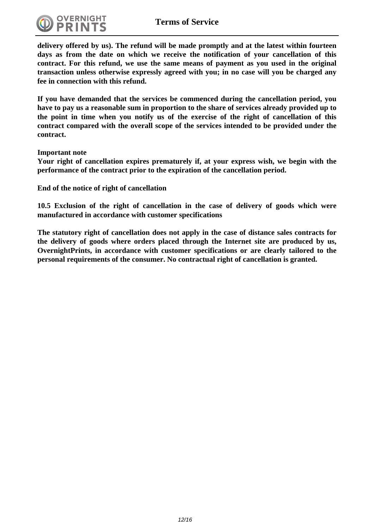

**delivery offered by us). The refund will be made promptly and at the latest within fourteen days as from the date on which we receive the notification of your cancellation of this contract. For this refund, we use the same means of payment as you used in the original transaction unless otherwise expressly agreed with you; in no case will you be charged any fee in connection with this refund.**

**If you have demanded that the services be commenced during the cancellation period, you have to pay us a reasonable sum in proportion to the share of services already provided up to the point in time when you notify us of the exercise of the right of cancellation of this contract compared with the overall scope of the services intended to be provided under the contract.**

**Important note**

**Your right of cancellation expires prematurely if, at your express wish, we begin with the performance of the contract prior to the expiration of the cancellation period.**

**End of the notice of right of cancellation**

**10.5 Exclusion of the right of cancellation in the case of delivery of goods which were manufactured in accordance with customer specifications**

**The statutory right of cancellation does not apply in the case of distance sales contracts for the delivery of goods where orders placed through the Internet site are produced by us, OvernightPrints, in accordance with customer specifications or are clearly tailored to the personal requirements of the consumer. No contractual right of cancellation is granted.**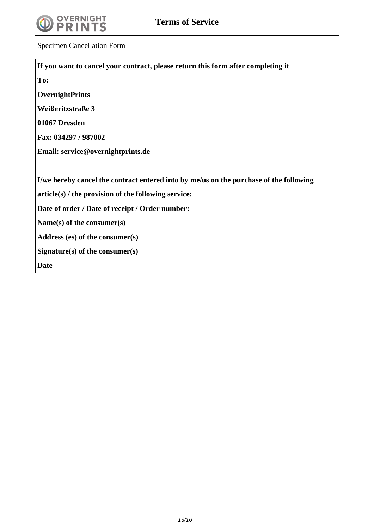

Specimen Cancellation Form

| If you want to cancel your contract, please return this form after completing it       |
|----------------------------------------------------------------------------------------|
| To:                                                                                    |
| <b>OvernightPrints</b>                                                                 |
| Weißeritzstraße 3                                                                      |
| 01067 Dresden                                                                          |
| Fax: 034297 / 987002                                                                   |
| Email: service@overnightprints.de                                                      |
|                                                                                        |
| I/we hereby cancel the contract entered into by me/us on the purchase of the following |
| $article(s)$ / the provision of the following service:                                 |
| Date of order / Date of receipt / Order number:                                        |
| Name(s) of the consumer(s)                                                             |
| Address $(es)$ of the consumer $(s)$                                                   |
| Signature(s) of the consumer(s)                                                        |
| <b>Date</b>                                                                            |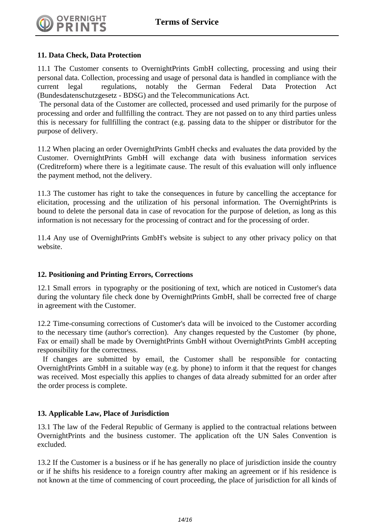

#### **11. Data Check, Data Protection**

11.1 The Customer consents to OvernightPrints GmbH collecting, processing and using their personal data. Collection, processing and usage of personal data is handled in compliance with the current legal regulations, notably the German Federal Data Protection Act (Bundesdatenschutzgesetz - BDSG) and the Telecommunications Act.

 The personal data of the Customer are collected, processed and used primarily for the purpose of processing and order and fullfilling the contract. They are not passed on to any third parties unless this is necessary for fullfilling the contract (e.g. passing data to the shipper or distributor for the purpose of delivery.

11.2 When placing an order OvernightPrints GmbH checks and evaluates the data provided by the Customer. OvernightPrints GmbH will exchange data with business information services (Creditreform) where there is a legitimate cause. The result of this evaluation will only influence the payment method, not the delivery.

11.3 The customer has right to take the consequences in future by cancelling the acceptance for elicitation, processing and the utilization of his personal information. The OvernightPrints is bound to delete the personal data in case of revocation for the purpose of deletion, as long as this information is not necessary for the processing of contract and for the processing of order.

11.4 Any use of OvernightPrints GmbH's website is subject to any other privacy policy on that website.

#### **12. Positioning and Printing Errors, Corrections**

12.1 Small errors in typography or the positioning of text, which are noticed in Customer's data during the voluntary file check done by OvernightPrints GmbH, shall be corrected free of charge in agreement with the Customer.

12.2 Time-consuming corrections of Customer's data will be invoiced to the Customer according to the necessary time (author's correction). Any changes requested by the Customer (by phone, Fax or email) shall be made by OvernightPrints GmbH without OvernightPrints GmbH accepting responsibility for the correctness.

 If changes are submitted by email, the Customer shall be responsible for contacting OvernightPrints GmbH in a suitable way (e.g. by phone) to inform it that the request for changes was received. Most especially this applies to changes of data already submitted for an order after the order process is complete.

#### **13. Applicable Law, Place of Jurisdiction**

13.1 The law of the Federal Republic of Germany is applied to the contractual relations between OvernightPrints and the business customer. The application oft the UN Sales Convention is excluded.

13.2 If the Customer is a business or if he has generally no place of jurisdiction inside the country or if he shifts his residence to a foreign country after making an agreement or if his residence is not known at the time of commencing of court proceeding, the place of jurisdiction for all kinds of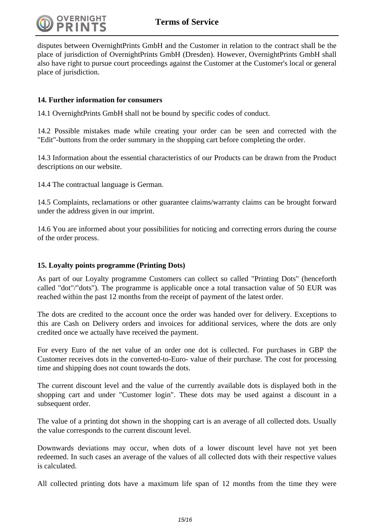

disputes between OvernightPrints GmbH and the Customer in relation to the contract shall be the place of jurisdiction of OvernightPrints GmbH (Dresden). However, OvernightPrints GmbH shall also have right to pursue court proceedings against the Customer at the Customer's local or general place of jurisdiction.

## **14. Further information for consumers**

14.1 OvernightPrints GmbH shall not be bound by specific codes of conduct.

14.2 Possible mistakes made while creating your order can be seen and corrected with the "Edit"-buttons from the order summary in the shopping cart before completing the order.

14.3 Information about the essential characteristics of our Products can be drawn from the Product descriptions on our website.

14.4 The contractual language is German.

14.5 Complaints, reclamations or other guarantee claims/warranty claims can be brought forward under the address given in our imprint.

14.6 You are informed about your possibilities for noticing and correcting errors during the course of the order process.

#### **15. Loyalty points programme (Printing Dots)**

As part of our Loyalty programme Customers can collect so called "Printing Dots" (henceforth called "dot"/"dots"). The programme is applicable once a total transaction value of 50 EUR was reached within the past 12 months from the receipt of payment of the latest order.

The dots are credited to the account once the order was handed over for delivery. Exceptions to this are Cash on Delivery orders and invoices for additional services, where the dots are only credited once we actually have received the payment.

For every Euro of the net value of an order one dot is collected. For purchases in GBP the Customer receives dots in the converted-to-Euro- value of their purchase. The cost for processing time and shipping does not count towards the dots.

The current discount level and the value of the currently available dots is displayed both in the shopping cart and under "Customer login". These dots may be used against a discount in a subsequent order.

The value of a printing dot shown in the shopping cart is an average of all collected dots. Usually the value corresponds to the current discount level.

Downwards deviations may occur, when dots of a lower discount level have not yet been redeemed. In such cases an average of the values of all collected dots with their respective values is calculated.

All collected printing dots have a maximum life span of 12 months from the time they were